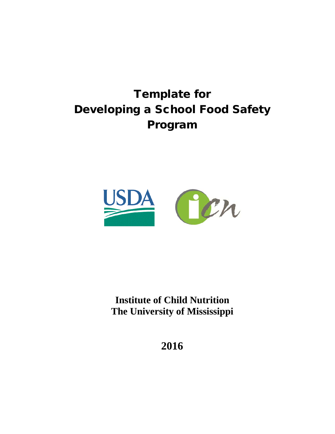# Template for Developing a School Food Safety Program



**Institute of Child Nutrition The University of Mississippi**

**2016**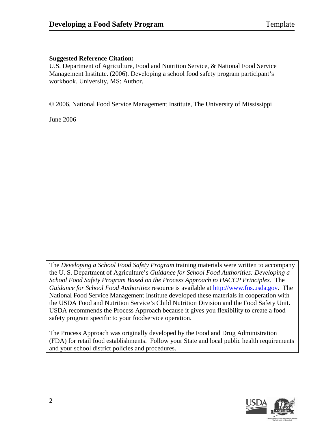#### **Suggested Reference Citation:**

U.S. Department of Agriculture, Food and Nutrition Service, & National Food Service Management Institute. (2006). Developing a school food safety program participant's workbook. University, MS: Author.

© 2006, National Food Service Management Institute, The University of Mississippi

June 2006

The *Developing a School Food Safety Program* training materials were written to accompany the U. S. Department of Agriculture's *Guidance for School Food Authorities: Developing a School Food Safety Program Based on the Process Approach to HACCP Principles*. The *Guidance for School Food Authorities* resource is available at [http://www.fns.usda.gov.](http://www.fns.usda.gov/) The National Food Service Management Institute developed these materials in cooperation with the USDA Food and Nutrition Service's Child Nutrition Division and the Food Safety Unit. USDA recommends the Process Approach because it gives you flexibility to create a food safety program specific to your foodservice operation.

The Process Approach was originally developed by the Food and Drug Administration (FDA) for retail food establishments. Follow your State and local public health requirements and your school district policies and procedures.

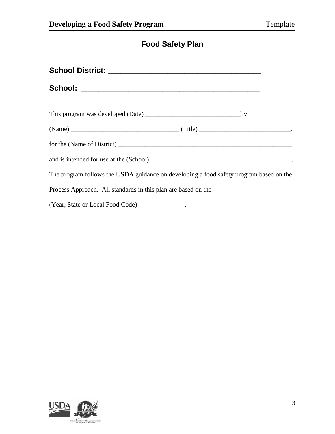## **Food Safety Plan**

| $(Name)$ $\qquad \qquad$ $(Title)$ $\qquad \qquad$                                     |  |
|----------------------------------------------------------------------------------------|--|
|                                                                                        |  |
|                                                                                        |  |
| The program follows the USDA guidance on developing a food safety program based on the |  |
| Process Approach. All standards in this plan are based on the                          |  |
|                                                                                        |  |

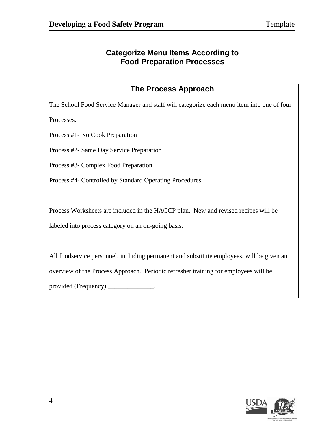#### **Categorize Menu Items According to Food Preparation Processes**

#### **The Process Approach**

The School Food Service Manager and staff will categorize each menu item into one of four

Processes.

Process #1- No Cook Preparation

Process #2- Same Day Service Preparation

Process #3- Complex Food Preparation

Process #4- Controlled by Standard Operating Procedures

Process Worksheets are included in the HACCP plan. New and revised recipes will be labeled into process category on an on-going basis.

All foodservice personnel, including permanent and substitute employees, will be given an overview of the Process Approach. Periodic refresher training for employees will be provided (Frequency) \_\_\_\_\_\_\_\_\_\_\_\_\_.

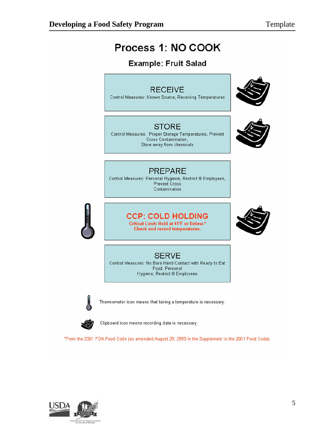## Process 1: NO COOK

## **Example: Fruit Salad**



\*From the 2001 FDA Food Code (as amended August 29, 2993 in the Supplement to the 2001 Food Code).

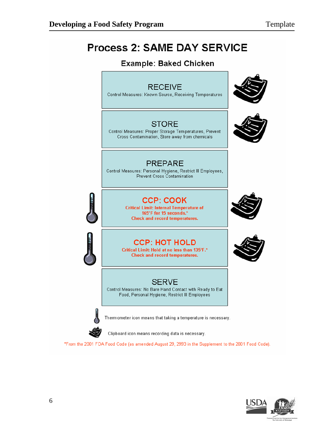## **Process 2: SAME DAY SERVICE**

#### **Example: Baked Chicken**



\*From the 2001 FDA Food Code (as amended August 29, 2993 in the Supplement to the 2001 Food Code).

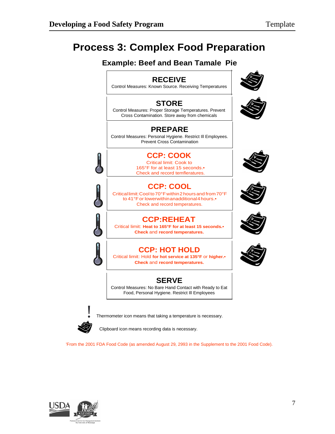## **Process 3: Complex Food Preparation**

### **Example: Beef and Bean Tamale Pie**



Thermometer icon means that taking a temperature is necessary.



Clipboard icon means recording data is necessary.

'From the 2001 FDA Food Code (as amended August 29, 2993 in the Supplement to the 2001 Food Code).

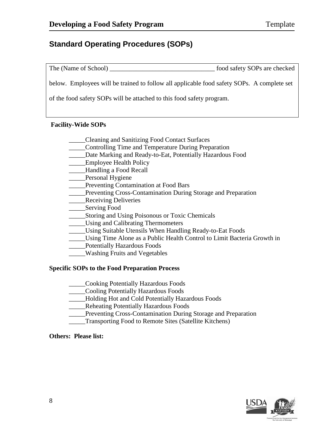## **Standard Operating Procedures (SOPs)**

The (Name of School) and the state of School) and safety SOPs are checked

below. Employees will be trained to follow all applicable food safety SOPs. A complete set

of the food safety SOPs will be attached to this food safety program.

#### **Facility-Wide SOPs**

- \_\_\_\_\_Cleaning and Sanitizing Food Contact Surfaces
- \_\_\_\_\_Controlling Time and Temperature During Preparation
- Date Marking and Ready-to-Eat, Potentially Hazardous Food
- **\_\_\_\_\_\_Employee Health Policy**
- \_\_\_\_\_Handling a Food Recall
- \_\_\_\_\_Personal Hygiene
- \_\_\_\_\_Preventing Contamination at Food Bars
- \_\_\_\_\_Preventing Cross-Contamination During Storage and Preparation
- **Exercise** Receiving Deliveries
- \_\_\_\_\_Serving Food
- \_\_\_\_\_Storing and Using Poisonous or Toxic Chemicals
- \_\_\_\_\_Using and Calibrating Thermometers
- \_\_\_\_\_Using Suitable Utensils When Handling Ready-to-Eat Foods
- \_\_\_\_\_Using Time Alone as a Public Health Control to Limit Bacteria Growth in
- \_\_\_\_\_Potentially Hazardous Foods
- \_\_\_\_\_Washing Fruits and Vegetables

#### **Specific SOPs to the Food Preparation Process**

- \_\_\_\_\_Cooking Potentially Hazardous Foods
- \_\_\_\_\_Cooling Potentially Hazardous Foods
- \_\_\_\_\_Holding Hot and Cold Potentially Hazardous Foods
- \_\_\_\_\_Reheating Potentially Hazardous Foods
- \_\_\_\_\_Preventing Cross-Contamination During Storage and Preparation
- \_\_\_\_\_Transporting Food to Remote Sites (Satellite Kitchens)

#### **Others: Please list:**

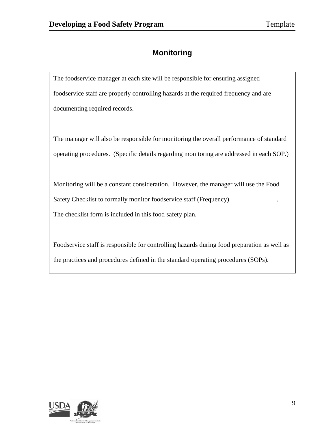## **Monitoring**

The foodservice manager at each site will be responsible for ensuring assigned foodservice staff are properly controlling hazards at the required frequency and are documenting required records.

The manager will also be responsible for monitoring the overall performance of standard operating procedures. (Specific details regarding monitoring are addressed in each SOP.)

Monitoring will be a constant consideration. However, the manager will use the Food Safety Checklist to formally monitor foodservice staff (Frequency) \_\_\_\_\_\_\_\_\_\_\_\_\_ The checklist form is included in this food safety plan.

Foodservice staff is responsible for controlling hazards during food preparation as well as the practices and procedures defined in the standard operating procedures (SOPs).

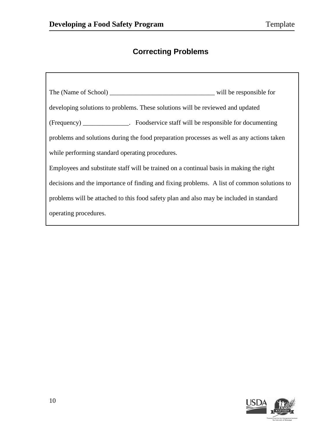## **Correcting Problems**

| developing solutions to problems. These solutions will be reviewed and updated             |  |  |  |  |  |
|--------------------------------------------------------------------------------------------|--|--|--|--|--|
| (Frequency) _______________. Foodservice staff will be responsible for documenting         |  |  |  |  |  |
| problems and solutions during the food preparation processes as well as any actions taken  |  |  |  |  |  |
| while performing standard operating procedures.                                            |  |  |  |  |  |
| Employees and substitute staff will be trained on a continual basis in making the right    |  |  |  |  |  |
| decisions and the importance of finding and fixing problems. A list of common solutions to |  |  |  |  |  |
| problems will be attached to this food safety plan and also may be included in standard    |  |  |  |  |  |
| operating procedures.                                                                      |  |  |  |  |  |

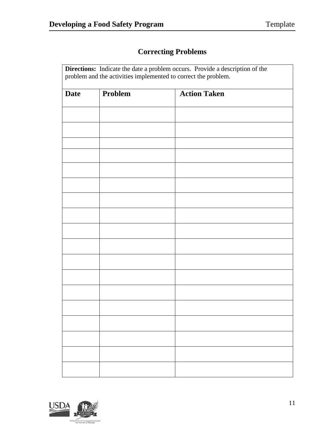## **Correcting Problems**

| <b>Action Taken</b> |
|---------------------|
|                     |
|                     |
|                     |
|                     |
|                     |
|                     |
|                     |
|                     |
|                     |
|                     |
|                     |
|                     |
|                     |
|                     |
|                     |
|                     |
|                     |
|                     |
|                     |
|                     |
|                     |
|                     |
|                     |

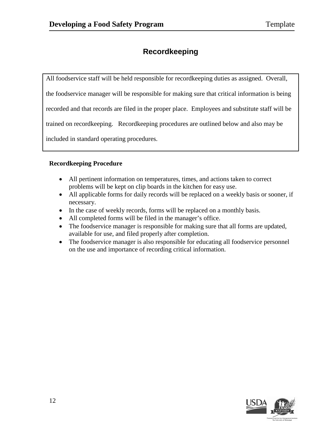## **Recordkeeping**

All foodservice staff will be held responsible for recordkeeping duties as assigned. Overall, the foodservice manager will be responsible for making sure that critical information is being recorded and that records are filed in the proper place. Employees and substitute staff will be trained on recordkeeping. Recordkeeping procedures are outlined below and also may be included in standard operating procedures.

#### **Recordkeeping Procedure**

- All pertinent information on temperatures, times, and actions taken to correct problems will be kept on clip boards in the kitchen for easy use.
- All applicable forms for daily records will be replaced on a weekly basis or sooner, if necessary.
- In the case of weekly records, forms will be replaced on a monthly basis.
- All completed forms will be filed in the manager's office.
- The foodservice manager is responsible for making sure that all forms are updated, available for use, and filed properly after completion.
- The foodservice manager is also responsible for educating all foodservice personnel on the use and importance of recording critical information.

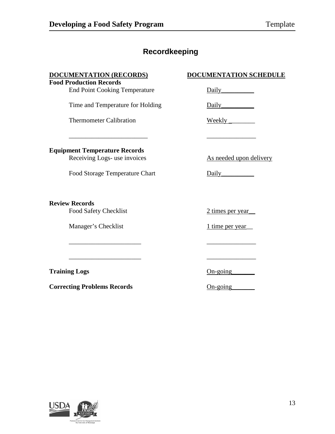## **Recordkeeping**

\_\_\_\_\_\_\_\_\_\_\_\_\_\_\_\_\_\_\_\_\_\_\_\_ \_\_\_\_\_\_\_\_\_\_\_\_\_\_\_

\_\_\_\_\_\_\_\_\_\_\_\_\_\_\_\_\_\_\_\_\_\_ \_\_\_\_\_\_\_\_\_\_\_\_\_\_\_

\_\_\_\_\_\_\_\_\_\_\_\_\_\_\_\_\_\_\_\_\_\_ \_\_\_\_\_\_\_\_\_\_\_\_\_\_\_

#### **DOCUMENTATION (RECORDS) DOCUMENTATION SCHEDULE Food Production Records**

End Point Cooking Temperature Daily

Time and Temperature for Holding Daily\_\_\_\_\_\_\_\_\_\_

Thermometer Calibration Weekly \_\_\_\_\_\_\_\_

#### **Equipment Temperature Records**

Receiving Logs- use invoices As needed upon delivery

Food Storage Temperature Chart Daily\_\_\_\_\_\_\_\_\_\_

#### **Review Records**

Food Safety Checklist 2 times per year

Manager's Checklist 1 time per year

**Training Logs** On-going

**Correcting Problems Records** On-going

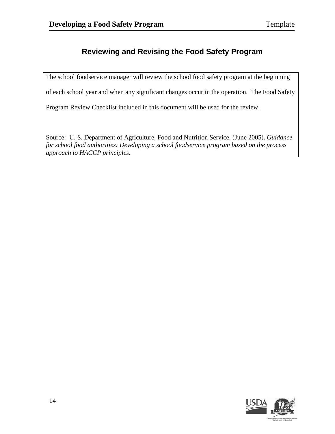## **Reviewing and Revising the Food Safety Program**

The school foodservice manager will review the school food safety program at the beginning

of each school year and when any significant changes occur in the operation. The Food Safety

Program Review Checklist included in this document will be used for the review.

Source: U. S. Department of Agriculture, Food and Nutrition Service. (June 2005). *Guidance for school food authorities: Developing a school foodservice program based on the process approach to HACCP principles.*

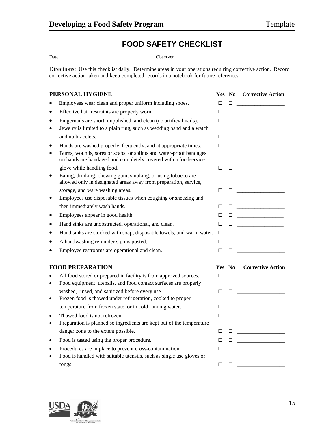## **FOOD SAFETY CHECKLIST**

Date\_\_\_\_\_\_\_\_\_\_\_\_\_\_\_\_\_\_\_\_\_\_\_\_\_\_\_\_\_\_\_\_\_\_\_\_\_\_\_ Observer\_\_\_\_\_\_\_\_\_\_\_\_\_\_\_\_\_\_\_\_\_\_\_\_\_\_\_\_\_\_\_\_\_\_\_\_\_\_\_\_\_\_\_\_\_

Directions: Use this checklist daily. Determine areas in your operations requiring corrective action. Record corrective action taken and keep completed records in a notebook for future reference**.**

|           | PERSONAL HYGIENE                                                                                                                      |        |        | <b>Yes No Corrective Action</b>                                                                                                                                                                                                                                                                                                                                                                                                                                                                                                                                                                                           |
|-----------|---------------------------------------------------------------------------------------------------------------------------------------|--------|--------|---------------------------------------------------------------------------------------------------------------------------------------------------------------------------------------------------------------------------------------------------------------------------------------------------------------------------------------------------------------------------------------------------------------------------------------------------------------------------------------------------------------------------------------------------------------------------------------------------------------------------|
|           | Employees wear clean and proper uniform including shoes.                                                                              | $\Box$ |        |                                                                                                                                                                                                                                                                                                                                                                                                                                                                                                                                                                                                                           |
| $\bullet$ | Effective hair restraints are properly worn.                                                                                          | $\Box$ |        |                                                                                                                                                                                                                                                                                                                                                                                                                                                                                                                                                                                                                           |
| $\bullet$ | Fingernails are short, unpolished, and clean (no artificial nails).                                                                   | $\Box$ |        | $\begin{tabular}{ c c c c c } \hline $\Box$ & $\underline{\hspace{15mm}}$ & $\underline{\hspace{15mm}}$ & $\underline{\hspace{15mm}}$ & $\underline{\hspace{15mm}}$ & $\underline{\hspace{15mm}}$ & $\underline{\hspace{15mm}}$ \\ \hline \end{tabular}$                                                                                                                                                                                                                                                                                                                                                                  |
| $\bullet$ | Jewelry is limited to a plain ring, such as wedding band and a watch                                                                  |        |        |                                                                                                                                                                                                                                                                                                                                                                                                                                                                                                                                                                                                                           |
|           | and no bracelets.                                                                                                                     | $\Box$ |        | $\begin{tabular}{ c c c c } \hline \quad \quad & \quad \quad & \quad \quad & \quad \quad \\ \hline \quad \quad & \quad \quad & \quad \quad & \quad \quad \\ \hline \end{tabular}$                                                                                                                                                                                                                                                                                                                                                                                                                                         |
| ٠         | Hands are washed properly, frequently, and at appropriate times.                                                                      | $\Box$ |        |                                                                                                                                                                                                                                                                                                                                                                                                                                                                                                                                                                                                                           |
|           | Burns, wounds, sores or scabs, or splints and water-proof bandages<br>on hands are bandaged and completely covered with a foodservice |        |        |                                                                                                                                                                                                                                                                                                                                                                                                                                                                                                                                                                                                                           |
|           | glove while handling food.                                                                                                            | $\Box$ |        | $\begin{tabular}{ c c c c c } \hline $\Box$ & $\bot$ & $\bot$ & $\bot$ & $\bot$ \\ \hline $\bot$ & $\bot$ & $\bot$ & $\bot$ & $\bot$ & $\bot$ \\ \hline $\bot$ & $\bot$ & $\bot$ & $\bot$ & $\bot$ & $\bot$ \\ \hline $\bot$ & $\bot$ & $\bot$ & $\bot$ & $\bot$ & $\bot$ & $\bot$ \\ \hline $\bot$ & $\bot$ & $\bot$ & $\bot$ & $\bot$ & $\bot$ & $\bot$ \\ \hline $\bot$ & $\bot$ & $\bot$ & $\bot$ & $\bot$ & $\bot$ & $\bot$ & $\bot$ \\ \hline $\bot$ & $\bot$ & $\bot$ & $\bot$ & $\bot$ & $\bot$ & $\$                                                                                                             |
| $\bullet$ | Eating, drinking, chewing gum, smoking, or using tobacco are<br>allowed only in designated areas away from preparation, service,      |        |        |                                                                                                                                                                                                                                                                                                                                                                                                                                                                                                                                                                                                                           |
|           | storage, and ware washing areas.                                                                                                      | П      |        | $\begin{tabular}{ c c c c } \hline \quad \quad & \quad \quad & \quad \quad & \quad \quad \\ \hline \quad \quad & \quad \quad & \quad \quad & \quad \quad \\ \hline \end{tabular}$                                                                                                                                                                                                                                                                                                                                                                                                                                         |
| $\bullet$ | Employees use disposable tissues when coughing or sneezing and                                                                        |        |        |                                                                                                                                                                                                                                                                                                                                                                                                                                                                                                                                                                                                                           |
|           | then immediately wash hands.                                                                                                          | $\Box$ |        |                                                                                                                                                                                                                                                                                                                                                                                                                                                                                                                                                                                                                           |
| $\bullet$ | Employees appear in good health.                                                                                                      | $\Box$ |        | $\begin{tabular}{ c c c c } \hline \quad \quad & \quad \quad & \quad \quad & \quad \quad \\ \hline \quad \quad & \quad \quad & \quad \quad & \quad \quad \\ \hline \end{tabular}$                                                                                                                                                                                                                                                                                                                                                                                                                                         |
| $\bullet$ | Hand sinks are unobstructed, operational, and clean.                                                                                  | □      |        | $\begin{tabular}{ c c c c } \hline \quad \quad & \quad \quad & \quad \quad & \quad \quad \\ \hline \quad \quad & \quad \quad & \quad \quad & \quad \quad \\ \hline \end{tabular}$                                                                                                                                                                                                                                                                                                                                                                                                                                         |
| $\bullet$ | Hand sinks are stocked with soap, disposable towels, and warm water.                                                                  | $\Box$ |        |                                                                                                                                                                                                                                                                                                                                                                                                                                                                                                                                                                                                                           |
| $\bullet$ | A handwashing reminder sign is posted.                                                                                                | $\Box$ |        | $\begin{tabular}{ c c c c } \hline \quad \quad & \quad \quad & \quad \quad & \quad \quad \\ \hline \quad \quad & \quad \quad & \quad \quad & \quad \quad \\ \hline \end{tabular}$                                                                                                                                                                                                                                                                                                                                                                                                                                         |
|           | Employee restrooms are operational and clean.                                                                                         | 0      |        | $\begin{tabular}{ c c c c c } \hline \quad \quad & \quad \quad & \quad \quad & \quad \quad \\ \hline \quad \quad & \quad \quad & \quad \quad & \quad \quad \\ \hline \end{tabular}$                                                                                                                                                                                                                                                                                                                                                                                                                                       |
|           | <b>FOOD PREPARATION</b>                                                                                                               |        | Yes No | <b>Corrective Action</b>                                                                                                                                                                                                                                                                                                                                                                                                                                                                                                                                                                                                  |
| $\bullet$ | All food stored or prepared in facility is from approved sources.<br>Food equipment utensils, and food contact surfaces are properly  | $\Box$ |        |                                                                                                                                                                                                                                                                                                                                                                                                                                                                                                                                                                                                                           |
|           | washed, rinsed, and sanitized before every use.                                                                                       | $\Box$ |        |                                                                                                                                                                                                                                                                                                                                                                                                                                                                                                                                                                                                                           |
| $\bullet$ | Frozen food is thawed under refrigeration, cooked to proper                                                                           |        |        |                                                                                                                                                                                                                                                                                                                                                                                                                                                                                                                                                                                                                           |
|           | temperature from frozen state, or in cold running water.                                                                              | $\Box$ |        | $\begin{tabular}{ c c c c } \hline \quad \quad & \quad \quad & \quad \quad & \quad \quad \\ \hline \quad \quad & \quad \quad & \quad \quad & \quad \quad \\ \hline \end{tabular}$                                                                                                                                                                                                                                                                                                                                                                                                                                         |
| $\bullet$ | Thawed food is not refrozen.                                                                                                          | $\Box$ |        |                                                                                                                                                                                                                                                                                                                                                                                                                                                                                                                                                                                                                           |
| $\bullet$ | Preparation is planned so ingredients are kept out of the temperature                                                                 |        |        |                                                                                                                                                                                                                                                                                                                                                                                                                                                                                                                                                                                                                           |
|           | danger zone to the extent possible.                                                                                                   | $\Box$ |        | $\Box$ and the set of the set of the set of the set of the set of the set of the set of the set of the set of the set of the set of the set of the set of the set of the set of the set of the set of the set of the set of the                                                                                                                                                                                                                                                                                                                                                                                           |
| $\bullet$ | Food is tasted using the proper procedure.                                                                                            | $\Box$ |        | $\begin{tabular}{ c c c c c } \hline $\quad \Box \quad \quad \bot \quad \quad \bot \quad \quad \bot \quad \quad \bot \quad \quad \bot \quad \quad \bot \quad \quad \bot \quad \quad \bot \quad \quad \bot \quad \quad \bot \quad \quad \bot \quad \quad \bot \quad \quad \bot \quad \quad \bot \quad \quad \bot \quad \quad \bot \quad \quad \bot \quad \quad \bot \quad \quad \bot \quad \quad \bot \quad \quad \bot \quad \quad \bot \quad \quad \bot \quad \quad \bot \quad \quad \bot \quad \quad \bot \quad \quad \bot \quad \quad \bot \quad \quad \bot \quad \quad \bot \quad \quad \bot \quad \quad \bot \quad \$ |
|           | Procedures are in place to prevent cross-contamination.<br>Food is handled with suitable utensils, such as single use gloves or       | $\Box$ |        | $\begin{tabular}{ c c c c c } \hline $\quad \quad & \quad \quad & \quad \quad & \quad \quad & \quad \quad \\ \hline \hline $\quad \quad & \quad \quad & \quad \quad & \quad \quad & \quad \quad \\ \hline \end{tabular}$                                                                                                                                                                                                                                                                                                                                                                                                  |
|           | tongs.                                                                                                                                | $\Box$ |        | $\Box$ and the set of the set of the set of the set of the set of the set of the set of the set of the set of the set of the set of the set of the set of the set of the set of the set of the set of the set of the set of the                                                                                                                                                                                                                                                                                                                                                                                           |

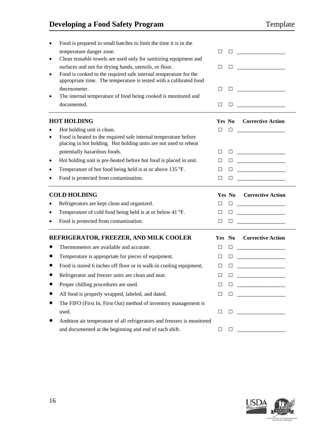## **Developing a Food Safety Program Template**

| ٠         | Food is prepared in small batches to limit the time it is in the                                                                                                                                 |        |        |                                                                                                                                                                                     |
|-----------|--------------------------------------------------------------------------------------------------------------------------------------------------------------------------------------------------|--------|--------|-------------------------------------------------------------------------------------------------------------------------------------------------------------------------------------|
| $\bullet$ | temperature danger zone.<br>Clean reusable towels are used only for sanitizing equipment and                                                                                                     | □      | $\Box$ |                                                                                                                                                                                     |
| $\bullet$ | surfaces and not for drying hands, utensils, or floor.<br>Food is cooked to the required safe internal temperature for the<br>appropriate time. The temperature is tested with a calibrated food | $\Box$ |        |                                                                                                                                                                                     |
|           | thermometer.                                                                                                                                                                                     |        |        |                                                                                                                                                                                     |
| $\bullet$ | The internal temperature of food being cooked is monitored and                                                                                                                                   | □      |        |                                                                                                                                                                                     |
|           | documented.                                                                                                                                                                                      | П      | $\Box$ |                                                                                                                                                                                     |
|           | <b>HOT HOLDING</b>                                                                                                                                                                               |        |        | <b>Yes No</b> Corrective Action                                                                                                                                                     |
| $\bullet$ | Hot holding unit is clean.                                                                                                                                                                       | $\Box$ |        |                                                                                                                                                                                     |
| $\bullet$ | Food is heated to the required safe internal temperature before<br>placing in hot holding. Hot holding units are not used to reheat                                                              |        |        |                                                                                                                                                                                     |
|           | potentially hazardous foods.                                                                                                                                                                     | П      |        | $\begin{tabular}{ c c c c } \hline \quad \quad & \quad \quad & \quad \quad & \quad \quad \\ \hline \quad \quad & \quad \quad & \quad \quad & \quad \quad \\ \hline \end{tabular}$   |
| ٠         | Hot holding unit is pre-heated before hot food is placed in unit.                                                                                                                                | □      |        | $\begin{tabular}{ c c c c } \hline \quad \quad & \quad \quad & \quad \quad \\ \hline \quad \quad & \quad \quad & \quad \quad \\ \hline \end{tabular}$                               |
| $\bullet$ | Temperature of hot food being held is at or above 135 °F.                                                                                                                                        | □      | $\Box$ |                                                                                                                                                                                     |
|           | Food is protected from contamination.                                                                                                                                                            | П      | ш      |                                                                                                                                                                                     |
|           |                                                                                                                                                                                                  |        |        |                                                                                                                                                                                     |
|           | <b>COLD HOLDING</b>                                                                                                                                                                              |        |        | <b>Yes No</b> Corrective Action                                                                                                                                                     |
| $\bullet$ | Refrigerators are kept clean and organized.                                                                                                                                                      | $\Box$ |        |                                                                                                                                                                                     |
| $\bullet$ | Temperature of cold food being held is at or below 41 °F.                                                                                                                                        | П      |        |                                                                                                                                                                                     |
| $\bullet$ | Food is protected from contamination.                                                                                                                                                            | □      |        |                                                                                                                                                                                     |
|           | REFRIGERATOR, FREEZER, AND MILK COOLER                                                                                                                                                           | Yes No |        | <b>Corrective Action</b>                                                                                                                                                            |
|           | Thermometers are available and accurate.                                                                                                                                                         | П      |        |                                                                                                                                                                                     |
|           | Temperature is appropriate for pieces of equipment.                                                                                                                                              | □      | $\Box$ |                                                                                                                                                                                     |
|           | Food is stored 6 inches off floor or in walk-in cooling equipment.                                                                                                                               | □      | $\Box$ |                                                                                                                                                                                     |
|           |                                                                                                                                                                                                  | □      | $\Box$ |                                                                                                                                                                                     |
|           | Refrigerator and freezer units are clean and neat.                                                                                                                                               | П.     | $\Box$ |                                                                                                                                                                                     |
|           | Proper chilling procedures are used.<br>All food is properly wrapped, labeled, and dated.                                                                                                        | П      |        |                                                                                                                                                                                     |
|           | The FIFO (First In, First Out) method of inventory management is                                                                                                                                 |        |        | $\begin{tabular}{ c c c c c } \hline \quad \quad & \quad \quad & \quad \quad & \quad \quad \\ \hline \quad \quad & \quad \quad & \quad \quad & \quad \quad \\ \hline \end{tabular}$ |
|           | used.                                                                                                                                                                                            | □      | $\Box$ |                                                                                                                                                                                     |
|           | Ambient air temperature of all refrigerators and freezers is monitored                                                                                                                           |        |        |                                                                                                                                                                                     |

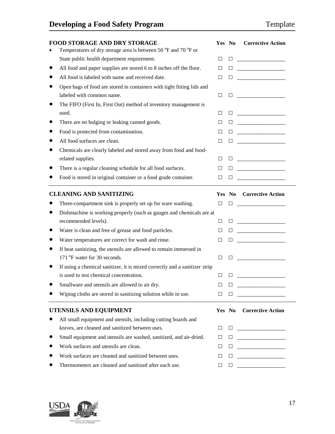## **Developing a Food Safety Program Template**

| Temperatures of dry storage area is between 50 °F and 70 °F or<br>State public health department requirement.<br>□<br>$\Box$<br>All food and paper supplies are stored 6 to 8 inches off the floor.<br>□<br>$\Box$<br>All food is labeled with name and received date.<br>$\Box$<br>$\Box$<br>Open bags of food are stored in containers with tight fitting lids and<br>labeled with common name.<br>$\begin{tabular}{ c c c c c } \hline \quad \quad & \quad \quad & \quad \quad & \quad \quad \\ \hline \quad \quad & \quad \quad & \quad \quad & \quad \quad \\ \hline \end{tabular}$<br>$\Box$<br>The FIFO (First In, First Out) method of inventory management is<br>used.<br>□<br>There are no bulging or leaking canned goods.<br>□<br>Food is protected from contamination.<br>□<br>$\Box$<br>All food surfaces are clean.<br>$\begin{tabular}{ c c c c c } \hline \quad \quad & \quad \quad & \quad \quad & \quad \quad \\ \hline \quad \quad & \quad \quad & \quad \quad & \quad \quad \\ \hline \end{tabular}$<br>$\Box$<br>Chemicals are clearly labeled and stored away from food and food-<br>related supplies.<br>□<br>$\begin{tabular}{ c c c c } \hline \quad \quad & \quad \quad & \quad \quad & \quad \quad \\ \hline \quad \quad & \quad \quad & \quad \quad & \quad \quad \\ \hline \end{tabular}$<br>There is a regular cleaning schedule for all food surfaces.<br>□<br>$\Box$ , and the set of $\Box$ , and the set of $\Box$<br>Food is stored in original container or a food grade container.<br>□<br>$\Box$<br>Yes No Corrective Action<br>Three-compartment sink is properly set up for ware washing.<br>□<br>$\Box$<br>Dishmachine is working properly (such as gauges and chemicals are at<br>recommended levels).<br>$\Box$<br>$\mathbf{L}$<br>Water is clean and free of grease and food particles.<br>□<br>Water temperatures are correct for wash and rinse.<br>$\begin{tabular}{ c c c c } \hline \quad \quad & \quad \quad & \quad \quad & \quad \quad \\ \hline \quad \quad & \quad \quad & \quad \quad & \quad \quad \\ \hline \end{tabular}$<br>□<br>If heat sanitizing, the utensils are allowed to remain immersed in<br>171 °F water for 30 seconds.<br>$\Box$<br>If using a chemical sanitizer, it is mixed correctly and a sanitizer strip<br>is used to test chemical concentration.<br>□<br>⊔<br>Smallware and utensils are allowed to air dry.<br>$\Box$<br>$\Box$<br>Wiping cloths are stored in sanitizing solution while in use.<br>□<br><b>Corrective Action</b><br>Yes No<br>All small equipment and utensils, including cutting boards and<br>knives, are cleaned and sanitized between uses.<br>$\begin{tabular}{ c c c c } \hline \quad \quad & \quad \quad & \quad \quad & \quad \quad \\ \hline \quad \quad & \quad \quad & \quad \quad & \quad \quad \\ \hline \end{tabular}$<br>□<br>Small equipment and utensils are washed, sanitized, and air-dried.<br>$\Box$<br>$\Box$<br>Work surfaces and utensils are clean.<br>□<br>$\Box$<br>Work surfaces are cleaned and sanitized between uses.<br>□<br>П.<br>Thermometers are cleaned and sanitized after each use.<br>□<br>$\Box$ | <b>FOOD STORAGE AND DRY STORAGE</b> | Yes No | <b>Corrective Action</b> |
|----------------------------------------------------------------------------------------------------------------------------------------------------------------------------------------------------------------------------------------------------------------------------------------------------------------------------------------------------------------------------------------------------------------------------------------------------------------------------------------------------------------------------------------------------------------------------------------------------------------------------------------------------------------------------------------------------------------------------------------------------------------------------------------------------------------------------------------------------------------------------------------------------------------------------------------------------------------------------------------------------------------------------------------------------------------------------------------------------------------------------------------------------------------------------------------------------------------------------------------------------------------------------------------------------------------------------------------------------------------------------------------------------------------------------------------------------------------------------------------------------------------------------------------------------------------------------------------------------------------------------------------------------------------------------------------------------------------------------------------------------------------------------------------------------------------------------------------------------------------------------------------------------------------------------------------------------------------------------------------------------------------------------------------------------------------------------------------------------------------------------------------------------------------------------------------------------------------------------------------------------------------------------------------------------------------------------------------------------------------------------------------------------------------------------------------------------------------------------------------------------------------------------------------------------------------------------------------------------------------------------------------------------------------------------------------------------------------------------------------------------------------------------------------------------------------------------------------------------------------------------------------------------------------------------------------------------------------------------------------------------------------------------------------------------------------------------------------------------------------------------------------------|-------------------------------------|--------|--------------------------|
|                                                                                                                                                                                                                                                                                                                                                                                                                                                                                                                                                                                                                                                                                                                                                                                                                                                                                                                                                                                                                                                                                                                                                                                                                                                                                                                                                                                                                                                                                                                                                                                                                                                                                                                                                                                                                                                                                                                                                                                                                                                                                                                                                                                                                                                                                                                                                                                                                                                                                                                                                                                                                                                                                                                                                                                                                                                                                                                                                                                                                                                                                                                                              |                                     |        |                          |
|                                                                                                                                                                                                                                                                                                                                                                                                                                                                                                                                                                                                                                                                                                                                                                                                                                                                                                                                                                                                                                                                                                                                                                                                                                                                                                                                                                                                                                                                                                                                                                                                                                                                                                                                                                                                                                                                                                                                                                                                                                                                                                                                                                                                                                                                                                                                                                                                                                                                                                                                                                                                                                                                                                                                                                                                                                                                                                                                                                                                                                                                                                                                              |                                     |        |                          |
|                                                                                                                                                                                                                                                                                                                                                                                                                                                                                                                                                                                                                                                                                                                                                                                                                                                                                                                                                                                                                                                                                                                                                                                                                                                                                                                                                                                                                                                                                                                                                                                                                                                                                                                                                                                                                                                                                                                                                                                                                                                                                                                                                                                                                                                                                                                                                                                                                                                                                                                                                                                                                                                                                                                                                                                                                                                                                                                                                                                                                                                                                                                                              |                                     |        |                          |
|                                                                                                                                                                                                                                                                                                                                                                                                                                                                                                                                                                                                                                                                                                                                                                                                                                                                                                                                                                                                                                                                                                                                                                                                                                                                                                                                                                                                                                                                                                                                                                                                                                                                                                                                                                                                                                                                                                                                                                                                                                                                                                                                                                                                                                                                                                                                                                                                                                                                                                                                                                                                                                                                                                                                                                                                                                                                                                                                                                                                                                                                                                                                              |                                     |        |                          |
|                                                                                                                                                                                                                                                                                                                                                                                                                                                                                                                                                                                                                                                                                                                                                                                                                                                                                                                                                                                                                                                                                                                                                                                                                                                                                                                                                                                                                                                                                                                                                                                                                                                                                                                                                                                                                                                                                                                                                                                                                                                                                                                                                                                                                                                                                                                                                                                                                                                                                                                                                                                                                                                                                                                                                                                                                                                                                                                                                                                                                                                                                                                                              |                                     |        |                          |
|                                                                                                                                                                                                                                                                                                                                                                                                                                                                                                                                                                                                                                                                                                                                                                                                                                                                                                                                                                                                                                                                                                                                                                                                                                                                                                                                                                                                                                                                                                                                                                                                                                                                                                                                                                                                                                                                                                                                                                                                                                                                                                                                                                                                                                                                                                                                                                                                                                                                                                                                                                                                                                                                                                                                                                                                                                                                                                                                                                                                                                                                                                                                              |                                     |        |                          |
|                                                                                                                                                                                                                                                                                                                                                                                                                                                                                                                                                                                                                                                                                                                                                                                                                                                                                                                                                                                                                                                                                                                                                                                                                                                                                                                                                                                                                                                                                                                                                                                                                                                                                                                                                                                                                                                                                                                                                                                                                                                                                                                                                                                                                                                                                                                                                                                                                                                                                                                                                                                                                                                                                                                                                                                                                                                                                                                                                                                                                                                                                                                                              |                                     |        |                          |
|                                                                                                                                                                                                                                                                                                                                                                                                                                                                                                                                                                                                                                                                                                                                                                                                                                                                                                                                                                                                                                                                                                                                                                                                                                                                                                                                                                                                                                                                                                                                                                                                                                                                                                                                                                                                                                                                                                                                                                                                                                                                                                                                                                                                                                                                                                                                                                                                                                                                                                                                                                                                                                                                                                                                                                                                                                                                                                                                                                                                                                                                                                                                              |                                     |        |                          |
|                                                                                                                                                                                                                                                                                                                                                                                                                                                                                                                                                                                                                                                                                                                                                                                                                                                                                                                                                                                                                                                                                                                                                                                                                                                                                                                                                                                                                                                                                                                                                                                                                                                                                                                                                                                                                                                                                                                                                                                                                                                                                                                                                                                                                                                                                                                                                                                                                                                                                                                                                                                                                                                                                                                                                                                                                                                                                                                                                                                                                                                                                                                                              |                                     |        |                          |
|                                                                                                                                                                                                                                                                                                                                                                                                                                                                                                                                                                                                                                                                                                                                                                                                                                                                                                                                                                                                                                                                                                                                                                                                                                                                                                                                                                                                                                                                                                                                                                                                                                                                                                                                                                                                                                                                                                                                                                                                                                                                                                                                                                                                                                                                                                                                                                                                                                                                                                                                                                                                                                                                                                                                                                                                                                                                                                                                                                                                                                                                                                                                              |                                     |        |                          |
|                                                                                                                                                                                                                                                                                                                                                                                                                                                                                                                                                                                                                                                                                                                                                                                                                                                                                                                                                                                                                                                                                                                                                                                                                                                                                                                                                                                                                                                                                                                                                                                                                                                                                                                                                                                                                                                                                                                                                                                                                                                                                                                                                                                                                                                                                                                                                                                                                                                                                                                                                                                                                                                                                                                                                                                                                                                                                                                                                                                                                                                                                                                                              |                                     |        |                          |
|                                                                                                                                                                                                                                                                                                                                                                                                                                                                                                                                                                                                                                                                                                                                                                                                                                                                                                                                                                                                                                                                                                                                                                                                                                                                                                                                                                                                                                                                                                                                                                                                                                                                                                                                                                                                                                                                                                                                                                                                                                                                                                                                                                                                                                                                                                                                                                                                                                                                                                                                                                                                                                                                                                                                                                                                                                                                                                                                                                                                                                                                                                                                              |                                     |        |                          |
|                                                                                                                                                                                                                                                                                                                                                                                                                                                                                                                                                                                                                                                                                                                                                                                                                                                                                                                                                                                                                                                                                                                                                                                                                                                                                                                                                                                                                                                                                                                                                                                                                                                                                                                                                                                                                                                                                                                                                                                                                                                                                                                                                                                                                                                                                                                                                                                                                                                                                                                                                                                                                                                                                                                                                                                                                                                                                                                                                                                                                                                                                                                                              |                                     |        |                          |
|                                                                                                                                                                                                                                                                                                                                                                                                                                                                                                                                                                                                                                                                                                                                                                                                                                                                                                                                                                                                                                                                                                                                                                                                                                                                                                                                                                                                                                                                                                                                                                                                                                                                                                                                                                                                                                                                                                                                                                                                                                                                                                                                                                                                                                                                                                                                                                                                                                                                                                                                                                                                                                                                                                                                                                                                                                                                                                                                                                                                                                                                                                                                              |                                     |        |                          |
|                                                                                                                                                                                                                                                                                                                                                                                                                                                                                                                                                                                                                                                                                                                                                                                                                                                                                                                                                                                                                                                                                                                                                                                                                                                                                                                                                                                                                                                                                                                                                                                                                                                                                                                                                                                                                                                                                                                                                                                                                                                                                                                                                                                                                                                                                                                                                                                                                                                                                                                                                                                                                                                                                                                                                                                                                                                                                                                                                                                                                                                                                                                                              |                                     |        |                          |
|                                                                                                                                                                                                                                                                                                                                                                                                                                                                                                                                                                                                                                                                                                                                                                                                                                                                                                                                                                                                                                                                                                                                                                                                                                                                                                                                                                                                                                                                                                                                                                                                                                                                                                                                                                                                                                                                                                                                                                                                                                                                                                                                                                                                                                                                                                                                                                                                                                                                                                                                                                                                                                                                                                                                                                                                                                                                                                                                                                                                                                                                                                                                              | <b>CLEANING AND SANITIZING</b>      |        |                          |
|                                                                                                                                                                                                                                                                                                                                                                                                                                                                                                                                                                                                                                                                                                                                                                                                                                                                                                                                                                                                                                                                                                                                                                                                                                                                                                                                                                                                                                                                                                                                                                                                                                                                                                                                                                                                                                                                                                                                                                                                                                                                                                                                                                                                                                                                                                                                                                                                                                                                                                                                                                                                                                                                                                                                                                                                                                                                                                                                                                                                                                                                                                                                              |                                     |        |                          |
|                                                                                                                                                                                                                                                                                                                                                                                                                                                                                                                                                                                                                                                                                                                                                                                                                                                                                                                                                                                                                                                                                                                                                                                                                                                                                                                                                                                                                                                                                                                                                                                                                                                                                                                                                                                                                                                                                                                                                                                                                                                                                                                                                                                                                                                                                                                                                                                                                                                                                                                                                                                                                                                                                                                                                                                                                                                                                                                                                                                                                                                                                                                                              |                                     |        |                          |
|                                                                                                                                                                                                                                                                                                                                                                                                                                                                                                                                                                                                                                                                                                                                                                                                                                                                                                                                                                                                                                                                                                                                                                                                                                                                                                                                                                                                                                                                                                                                                                                                                                                                                                                                                                                                                                                                                                                                                                                                                                                                                                                                                                                                                                                                                                                                                                                                                                                                                                                                                                                                                                                                                                                                                                                                                                                                                                                                                                                                                                                                                                                                              |                                     |        |                          |
|                                                                                                                                                                                                                                                                                                                                                                                                                                                                                                                                                                                                                                                                                                                                                                                                                                                                                                                                                                                                                                                                                                                                                                                                                                                                                                                                                                                                                                                                                                                                                                                                                                                                                                                                                                                                                                                                                                                                                                                                                                                                                                                                                                                                                                                                                                                                                                                                                                                                                                                                                                                                                                                                                                                                                                                                                                                                                                                                                                                                                                                                                                                                              |                                     |        |                          |
|                                                                                                                                                                                                                                                                                                                                                                                                                                                                                                                                                                                                                                                                                                                                                                                                                                                                                                                                                                                                                                                                                                                                                                                                                                                                                                                                                                                                                                                                                                                                                                                                                                                                                                                                                                                                                                                                                                                                                                                                                                                                                                                                                                                                                                                                                                                                                                                                                                                                                                                                                                                                                                                                                                                                                                                                                                                                                                                                                                                                                                                                                                                                              |                                     |        |                          |
|                                                                                                                                                                                                                                                                                                                                                                                                                                                                                                                                                                                                                                                                                                                                                                                                                                                                                                                                                                                                                                                                                                                                                                                                                                                                                                                                                                                                                                                                                                                                                                                                                                                                                                                                                                                                                                                                                                                                                                                                                                                                                                                                                                                                                                                                                                                                                                                                                                                                                                                                                                                                                                                                                                                                                                                                                                                                                                                                                                                                                                                                                                                                              |                                     |        |                          |
|                                                                                                                                                                                                                                                                                                                                                                                                                                                                                                                                                                                                                                                                                                                                                                                                                                                                                                                                                                                                                                                                                                                                                                                                                                                                                                                                                                                                                                                                                                                                                                                                                                                                                                                                                                                                                                                                                                                                                                                                                                                                                                                                                                                                                                                                                                                                                                                                                                                                                                                                                                                                                                                                                                                                                                                                                                                                                                                                                                                                                                                                                                                                              |                                     |        |                          |
|                                                                                                                                                                                                                                                                                                                                                                                                                                                                                                                                                                                                                                                                                                                                                                                                                                                                                                                                                                                                                                                                                                                                                                                                                                                                                                                                                                                                                                                                                                                                                                                                                                                                                                                                                                                                                                                                                                                                                                                                                                                                                                                                                                                                                                                                                                                                                                                                                                                                                                                                                                                                                                                                                                                                                                                                                                                                                                                                                                                                                                                                                                                                              |                                     |        |                          |
|                                                                                                                                                                                                                                                                                                                                                                                                                                                                                                                                                                                                                                                                                                                                                                                                                                                                                                                                                                                                                                                                                                                                                                                                                                                                                                                                                                                                                                                                                                                                                                                                                                                                                                                                                                                                                                                                                                                                                                                                                                                                                                                                                                                                                                                                                                                                                                                                                                                                                                                                                                                                                                                                                                                                                                                                                                                                                                                                                                                                                                                                                                                                              |                                     |        |                          |
|                                                                                                                                                                                                                                                                                                                                                                                                                                                                                                                                                                                                                                                                                                                                                                                                                                                                                                                                                                                                                                                                                                                                                                                                                                                                                                                                                                                                                                                                                                                                                                                                                                                                                                                                                                                                                                                                                                                                                                                                                                                                                                                                                                                                                                                                                                                                                                                                                                                                                                                                                                                                                                                                                                                                                                                                                                                                                                                                                                                                                                                                                                                                              |                                     |        |                          |
|                                                                                                                                                                                                                                                                                                                                                                                                                                                                                                                                                                                                                                                                                                                                                                                                                                                                                                                                                                                                                                                                                                                                                                                                                                                                                                                                                                                                                                                                                                                                                                                                                                                                                                                                                                                                                                                                                                                                                                                                                                                                                                                                                                                                                                                                                                                                                                                                                                                                                                                                                                                                                                                                                                                                                                                                                                                                                                                                                                                                                                                                                                                                              |                                     |        |                          |
|                                                                                                                                                                                                                                                                                                                                                                                                                                                                                                                                                                                                                                                                                                                                                                                                                                                                                                                                                                                                                                                                                                                                                                                                                                                                                                                                                                                                                                                                                                                                                                                                                                                                                                                                                                                                                                                                                                                                                                                                                                                                                                                                                                                                                                                                                                                                                                                                                                                                                                                                                                                                                                                                                                                                                                                                                                                                                                                                                                                                                                                                                                                                              | <b>UTENSILS AND EQUIPMENT</b>       |        |                          |
|                                                                                                                                                                                                                                                                                                                                                                                                                                                                                                                                                                                                                                                                                                                                                                                                                                                                                                                                                                                                                                                                                                                                                                                                                                                                                                                                                                                                                                                                                                                                                                                                                                                                                                                                                                                                                                                                                                                                                                                                                                                                                                                                                                                                                                                                                                                                                                                                                                                                                                                                                                                                                                                                                                                                                                                                                                                                                                                                                                                                                                                                                                                                              |                                     |        |                          |
|                                                                                                                                                                                                                                                                                                                                                                                                                                                                                                                                                                                                                                                                                                                                                                                                                                                                                                                                                                                                                                                                                                                                                                                                                                                                                                                                                                                                                                                                                                                                                                                                                                                                                                                                                                                                                                                                                                                                                                                                                                                                                                                                                                                                                                                                                                                                                                                                                                                                                                                                                                                                                                                                                                                                                                                                                                                                                                                                                                                                                                                                                                                                              |                                     |        |                          |
|                                                                                                                                                                                                                                                                                                                                                                                                                                                                                                                                                                                                                                                                                                                                                                                                                                                                                                                                                                                                                                                                                                                                                                                                                                                                                                                                                                                                                                                                                                                                                                                                                                                                                                                                                                                                                                                                                                                                                                                                                                                                                                                                                                                                                                                                                                                                                                                                                                                                                                                                                                                                                                                                                                                                                                                                                                                                                                                                                                                                                                                                                                                                              |                                     |        |                          |
|                                                                                                                                                                                                                                                                                                                                                                                                                                                                                                                                                                                                                                                                                                                                                                                                                                                                                                                                                                                                                                                                                                                                                                                                                                                                                                                                                                                                                                                                                                                                                                                                                                                                                                                                                                                                                                                                                                                                                                                                                                                                                                                                                                                                                                                                                                                                                                                                                                                                                                                                                                                                                                                                                                                                                                                                                                                                                                                                                                                                                                                                                                                                              |                                     |        |                          |
|                                                                                                                                                                                                                                                                                                                                                                                                                                                                                                                                                                                                                                                                                                                                                                                                                                                                                                                                                                                                                                                                                                                                                                                                                                                                                                                                                                                                                                                                                                                                                                                                                                                                                                                                                                                                                                                                                                                                                                                                                                                                                                                                                                                                                                                                                                                                                                                                                                                                                                                                                                                                                                                                                                                                                                                                                                                                                                                                                                                                                                                                                                                                              |                                     |        |                          |
|                                                                                                                                                                                                                                                                                                                                                                                                                                                                                                                                                                                                                                                                                                                                                                                                                                                                                                                                                                                                                                                                                                                                                                                                                                                                                                                                                                                                                                                                                                                                                                                                                                                                                                                                                                                                                                                                                                                                                                                                                                                                                                                                                                                                                                                                                                                                                                                                                                                                                                                                                                                                                                                                                                                                                                                                                                                                                                                                                                                                                                                                                                                                              |                                     |        |                          |

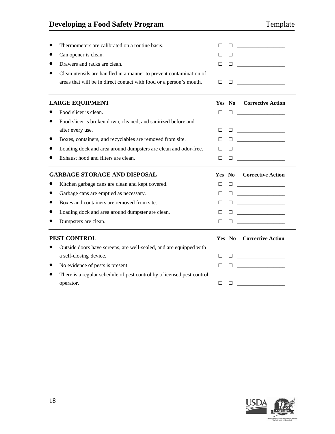## **Developing a Food Safety Program Template**

|           | Thermometers are calibrated on a routine basis.<br>Can opener is clean.                                                                   | П<br>П | $\Box$ |                                                                                                                                                       |
|-----------|-------------------------------------------------------------------------------------------------------------------------------------------|--------|--------|-------------------------------------------------------------------------------------------------------------------------------------------------------|
|           | Drawers and racks are clean.                                                                                                              | $\Box$ | П.     | <u> 1990 - Johann Barbara, martin a</u>                                                                                                               |
|           | Clean utensils are handled in a manner to prevent contamination of<br>areas that will be in direct contact with food or a person's mouth. | $\Box$ |        |                                                                                                                                                       |
|           | <b>LARGE EQUIPMENT</b>                                                                                                                    |        |        | <b>Yes No</b> Corrective Action                                                                                                                       |
|           | Food slicer is clean.                                                                                                                     | П      |        | $\begin{tabular}{ c c c c } \hline \quad \quad & \quad \quad & \quad \quad \\ \hline \quad \quad & \quad \quad & \quad \quad \\ \hline \end{tabular}$ |
| $\bullet$ | Food slicer is broken down, cleaned, and sanitized before and                                                                             |        |        |                                                                                                                                                       |
|           | after every use.                                                                                                                          | $\Box$ |        |                                                                                                                                                       |
|           | Boxes, containers, and recyclables are removed from site.                                                                                 | $\Box$ | $\Box$ | <u> 1980 - Johann Barbara, martin a</u>                                                                                                               |
|           | Loading dock and area around dumpsters are clean and odor-free.                                                                           | $\Box$ | $\Box$ |                                                                                                                                                       |
|           | Exhaust hood and filters are clean.                                                                                                       | □      | $\Box$ |                                                                                                                                                       |
|           |                                                                                                                                           |        |        |                                                                                                                                                       |
|           | <b>GARBAGE STORAGE AND DISPOSAL</b>                                                                                                       |        | Yes No | <b>Corrective Action</b>                                                                                                                              |
|           | Kitchen garbage cans are clean and kept covered.                                                                                          | $\Box$ |        |                                                                                                                                                       |
| $\bullet$ | Garbage cans are emptied as necessary.                                                                                                    | $\Box$ | $\Box$ |                                                                                                                                                       |
| ●         | Boxes and containers are removed from site.                                                                                               | $\Box$ | $\Box$ |                                                                                                                                                       |
|           | Loading dock and area around dumpster are clean.                                                                                          | $\Box$ | $\Box$ |                                                                                                                                                       |
|           | Dumpsters are clean.                                                                                                                      | $\Box$ | $\Box$ | <u> 1990 - Johann Barbara, martin a</u>                                                                                                               |
|           | PEST CONTROL                                                                                                                              |        | Yes No | <b>Corrective Action</b>                                                                                                                              |
|           | Outside doors have screens, are well-sealed, and are equipped with                                                                        |        |        |                                                                                                                                                       |
|           | a self-closing device.                                                                                                                    | 0      |        |                                                                                                                                                       |
| $\bullet$ | No evidence of pests is present.                                                                                                          | $\Box$ |        |                                                                                                                                                       |
|           | There is a regular schedule of pest control by a licensed pest control                                                                    |        |        |                                                                                                                                                       |